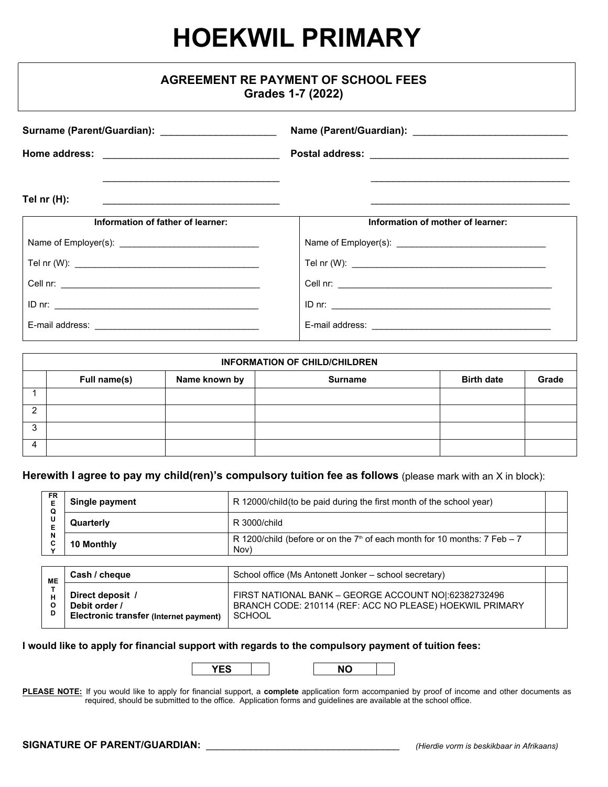# **HOEKWIL PRIMARY**

| <b>AGREEMENT RE PAYMENT OF SCHOOL FEES</b><br>Grades 1-7 (2022)                                                                                                            |                                   |  |  |  |  |
|----------------------------------------------------------------------------------------------------------------------------------------------------------------------------|-----------------------------------|--|--|--|--|
| Surname (Parent/Guardian): _______________________                                                                                                                         |                                   |  |  |  |  |
|                                                                                                                                                                            |                                   |  |  |  |  |
| Tel $nr(H)$ :<br><u> 1989 - Johann Stein, skriuwer en fan it ferskearre fan it ferskearre fan it ferskearre fan it ferskearre fan</u><br>Information of father of learner: | Information of mother of learner: |  |  |  |  |
|                                                                                                                                                                            |                                   |  |  |  |  |
|                                                                                                                                                                            |                                   |  |  |  |  |
|                                                                                                                                                                            |                                   |  |  |  |  |
|                                                                                                                                                                            |                                   |  |  |  |  |
|                                                                                                                                                                            |                                   |  |  |  |  |

| <b>INFORMATION OF CHILD/CHILDREN</b> |              |               |                |                   |       |
|--------------------------------------|--------------|---------------|----------------|-------------------|-------|
|                                      | Full name(s) | Name known by | <b>Surname</b> | <b>Birth date</b> | Grade |
|                                      |              |               |                |                   |       |
| ◠                                    |              |               |                |                   |       |
| ົ<br>د.                              |              |               |                |                   |       |
| $\Delta$                             |              |               |                |                   |       |

### **Herewith I agree to pay my child(ren)'s compulsory tuition fee as follows** (please mark with an X in block):

| <b>FR</b><br>Е<br>Q | Single payment                                                              | R 12000/child (to be paid during the first month of the school year)                                                               |  |
|---------------------|-----------------------------------------------------------------------------|------------------------------------------------------------------------------------------------------------------------------------|--|
| U<br>Е              | Quarterly                                                                   | R 3000/child                                                                                                                       |  |
| N<br>c              | 10 Monthly                                                                  | R 1200/child (before or on the $7th$ of each month for 10 months: 7 Feb $-7$<br>Nov)                                               |  |
|                     |                                                                             |                                                                                                                                    |  |
| ME                  | Cash / cheque                                                               | School office (Ms Antonett Jonker – school secretary)                                                                              |  |
| н<br>O<br>D         | Direct deposit /<br>Debit order /<br>Electronic transfer (Internet payment) | FIRST NATIONAL BANK - GEORGE ACCOUNT NO 1:62382732496<br>BRANCH CODE: 210114 (REF: ACC NO PLEASE) HOEKWIL PRIMARY<br><b>SCHOOL</b> |  |

#### **I would like to apply for financial support with regards to the compulsory payment of tuition fees:**



PLEASE NOTE: If you would like to apply for financial support, a complete application form accompanied by proof of income and other documents as required, should be submitted to the office. Application forms and guidelines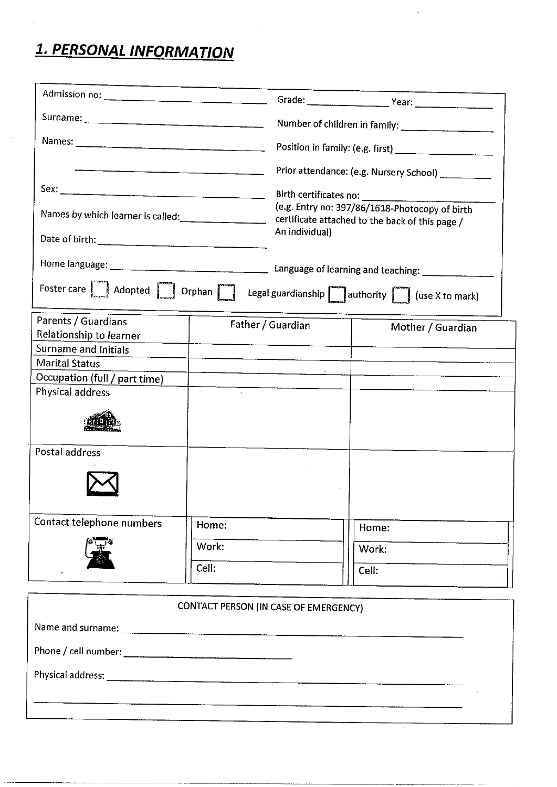## 1. PERSONAL INFORMATION

|                                                                                                                                                                                       |       | Prior attendance: (e.g. Nursery School)                                                                             |                   |  |  |  |
|---------------------------------------------------------------------------------------------------------------------------------------------------------------------------------------|-------|---------------------------------------------------------------------------------------------------------------------|-------------------|--|--|--|
|                                                                                                                                                                                       |       |                                                                                                                     |                   |  |  |  |
|                                                                                                                                                                                       |       | (e.g. Entry no: 397/86/1618-Photocopy of birth<br>certificate attached to the back of this page /<br>An individual) |                   |  |  |  |
|                                                                                                                                                                                       |       |                                                                                                                     |                   |  |  |  |
|                                                                                                                                                                                       |       |                                                                                                                     |                   |  |  |  |
| Foster care $\boxed{\phantom{1}}$ Adopted $\boxed{\phantom{1}}$ Orphan $\boxed{\phantom{1}}$ Legal guardianship $\boxed{\phantom{1}}$ authority $\boxed{\phantom{1}}$ (use X to mark) |       |                                                                                                                     |                   |  |  |  |
| Parents / Guardians                                                                                                                                                                   |       | Father / Guardian                                                                                                   | Mother / Guardian |  |  |  |
| Relationship to learner                                                                                                                                                               |       |                                                                                                                     |                   |  |  |  |
| Surname and Initials                                                                                                                                                                  |       |                                                                                                                     |                   |  |  |  |
| <b>Marital Status</b>                                                                                                                                                                 |       |                                                                                                                     |                   |  |  |  |
| Occupation (full / part time)<br>Physical address                                                                                                                                     |       |                                                                                                                     |                   |  |  |  |
|                                                                                                                                                                                       |       |                                                                                                                     |                   |  |  |  |
| Postal address                                                                                                                                                                        |       |                                                                                                                     |                   |  |  |  |
| Contact telephone numbers                                                                                                                                                             | Home: |                                                                                                                     | Home:             |  |  |  |
| Work:                                                                                                                                                                                 |       | Work:                                                                                                               |                   |  |  |  |
|                                                                                                                                                                                       | Cell: |                                                                                                                     | Cell:             |  |  |  |

| CONTACT PERSON (IN CASE OF EMERGENCY) |
|---------------------------------------|
|                                       |
|                                       |
|                                       |
|                                       |
|                                       |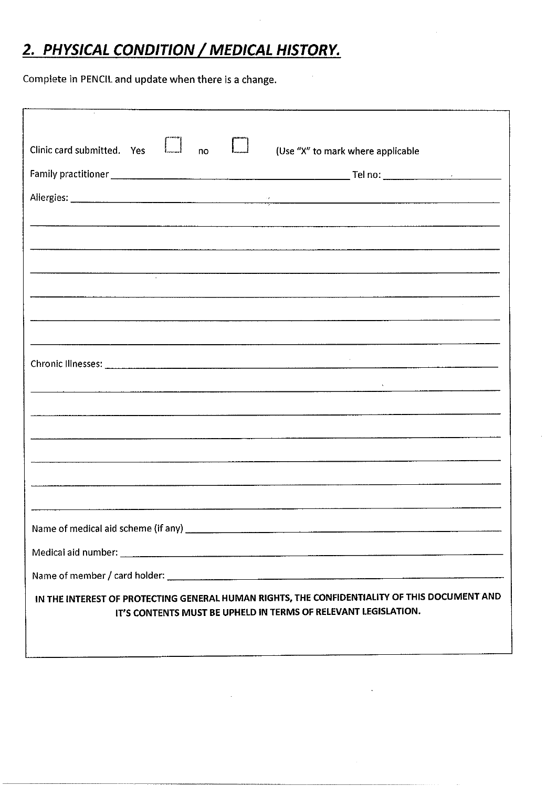## 2. PHYSICAL CONDITION / MEDICAL HISTORY.

Complete in PENCIL and update when there is a change.

| Clinic card submitted. Yes<br>(Use "X" to mark where applicable<br>no                                                                                                                                                         |  |  |  |  |  |
|-------------------------------------------------------------------------------------------------------------------------------------------------------------------------------------------------------------------------------|--|--|--|--|--|
|                                                                                                                                                                                                                               |  |  |  |  |  |
|                                                                                                                                                                                                                               |  |  |  |  |  |
|                                                                                                                                                                                                                               |  |  |  |  |  |
|                                                                                                                                                                                                                               |  |  |  |  |  |
| , in dimensional control of the construction of the construction of the construction of the construction of the construction of the construction of the construction of the construction of the construction of the construct |  |  |  |  |  |
|                                                                                                                                                                                                                               |  |  |  |  |  |
|                                                                                                                                                                                                                               |  |  |  |  |  |
|                                                                                                                                                                                                                               |  |  |  |  |  |
|                                                                                                                                                                                                                               |  |  |  |  |  |
| <u> 1980 - Januar Alexander (h. 1980).</u>                                                                                                                                                                                    |  |  |  |  |  |
|                                                                                                                                                                                                                               |  |  |  |  |  |
|                                                                                                                                                                                                                               |  |  |  |  |  |
|                                                                                                                                                                                                                               |  |  |  |  |  |
|                                                                                                                                                                                                                               |  |  |  |  |  |
|                                                                                                                                                                                                                               |  |  |  |  |  |
|                                                                                                                                                                                                                               |  |  |  |  |  |
|                                                                                                                                                                                                                               |  |  |  |  |  |
|                                                                                                                                                                                                                               |  |  |  |  |  |
|                                                                                                                                                                                                                               |  |  |  |  |  |
| IN THE INTEREST OF PROTECTING GENERAL HUMAN RIGHTS, THE CONFIDENTIALITY OF THIS DOCUMENT AND<br>IT'S CONTENTS MUST BE UPHELD IN TERMS OF RELEVANT LEGISLATION.                                                                |  |  |  |  |  |
|                                                                                                                                                                                                                               |  |  |  |  |  |